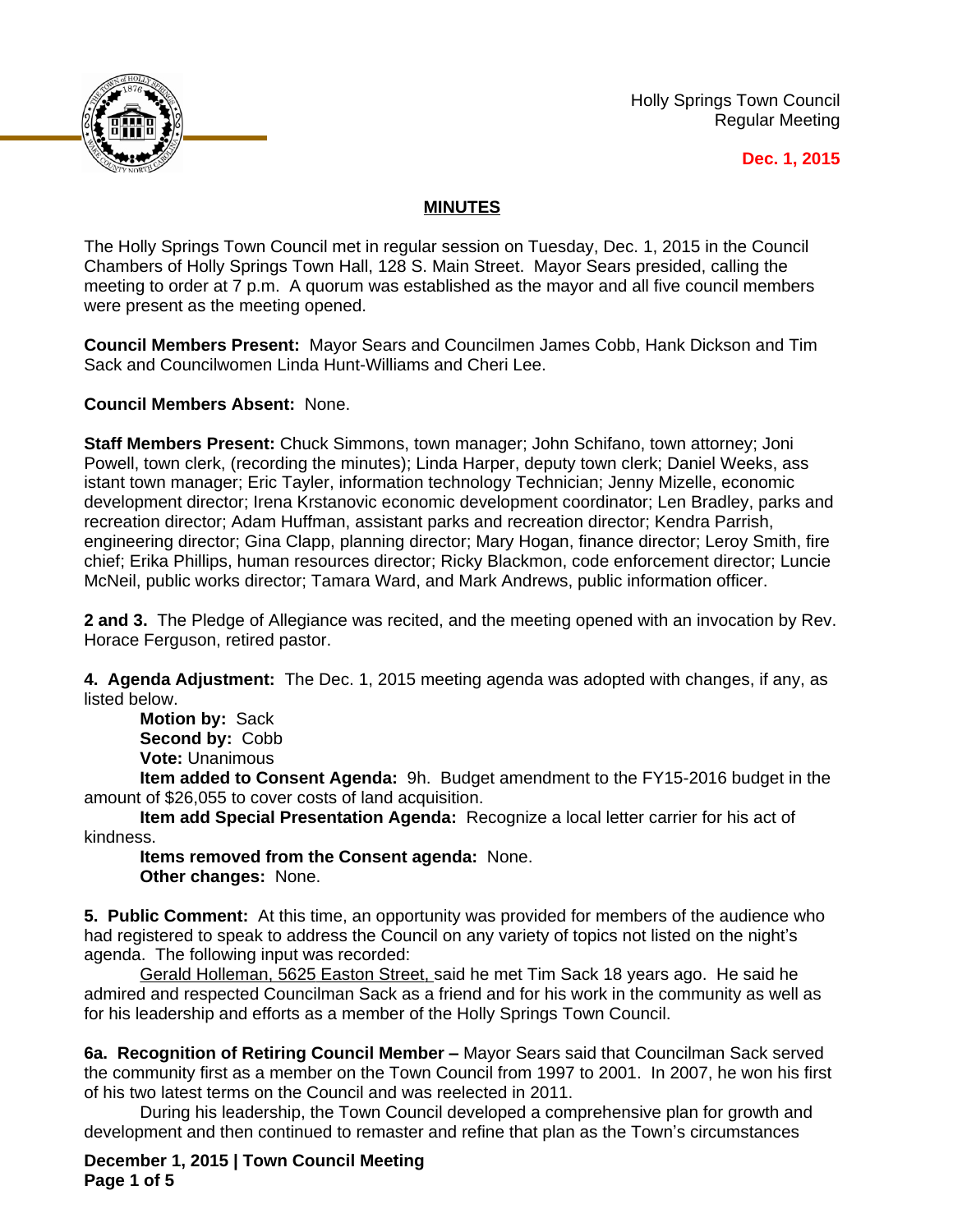

Holly Springs Town Council Regular Meeting

## **Dec. 1, 2015**

## **MINUTES**

The Holly Springs Town Council met in regular session on Tuesday, Dec. 1, 2015 in the Council Chambers of Holly Springs Town Hall, 128 S. Main Street. Mayor Sears presided, calling the meeting to order at 7 p.m. A quorum was established as the mayor and all five council members were present as the meeting opened.

**Council Members Present:** Mayor Sears and Councilmen James Cobb, Hank Dickson and Tim Sack and Councilwomen Linda Hunt-Williams and Cheri Lee.

**Council Members Absent:** None.

**Staff Members Present:** Chuck Simmons, town manager; John Schifano, town attorney; Joni Powell, town clerk, (recording the minutes); Linda Harper, deputy town clerk; Daniel Weeks, ass istant town manager; Eric Tayler, information technology Technician; Jenny Mizelle, economic development director; Irena Krstanovic economic development coordinator; Len Bradley, parks and recreation director; Adam Huffman, assistant parks and recreation director; Kendra Parrish, engineering director; Gina Clapp, planning director; Mary Hogan, finance director; Leroy Smith, fire chief; Erika Phillips, human resources director; Ricky Blackmon, code enforcement director; Luncie McNeil, public works director; Tamara Ward, and Mark Andrews, public information officer.

**2 and 3.** The Pledge of Allegiance was recited, and the meeting opened with an invocation by Rev. Horace Ferguson, retired pastor.

**4. Agenda Adjustment:** The Dec. 1, 2015 meeting agenda was adopted with changes, if any, as listed below.

**Motion by:** Sack **Second by:** Cobb **Vote:** Unanimous

**Item added to Consent Agenda:** 9h. Budget amendment to the FY15-2016 budget in the amount of \$26,055 to cover costs of land acquisition.

**Item add Special Presentation Agenda:** Recognize a local letter carrier for his act of kindness.

**Items removed from the Consent agenda:** None. **Other changes:** None.

**5. Public Comment:** At this time, an opportunity was provided for members of the audience who had registered to speak to address the Council on any variety of topics not listed on the night's agenda. The following input was recorded:

Gerald Holleman, 5625 Easton Street, said he met Tim Sack 18 years ago. He said he admired and respected Councilman Sack as a friend and for his work in the community as well as for his leadership and efforts as a member of the Holly Springs Town Council.

**6a. Recognition of Retiring Council Member – Mayor Sears said that Councilman Sack served** the community first as a member on the Town Council from 1997 to 2001. In 2007, he won his first of his two latest terms on the Council and was reelected in 2011.

During his leadership, the Town Council developed a comprehensive plan for growth and development and then continued to remaster and refine that plan as the Town's circumstances

**December 1, 2015 | Town Council Meeting Page 1 of 5**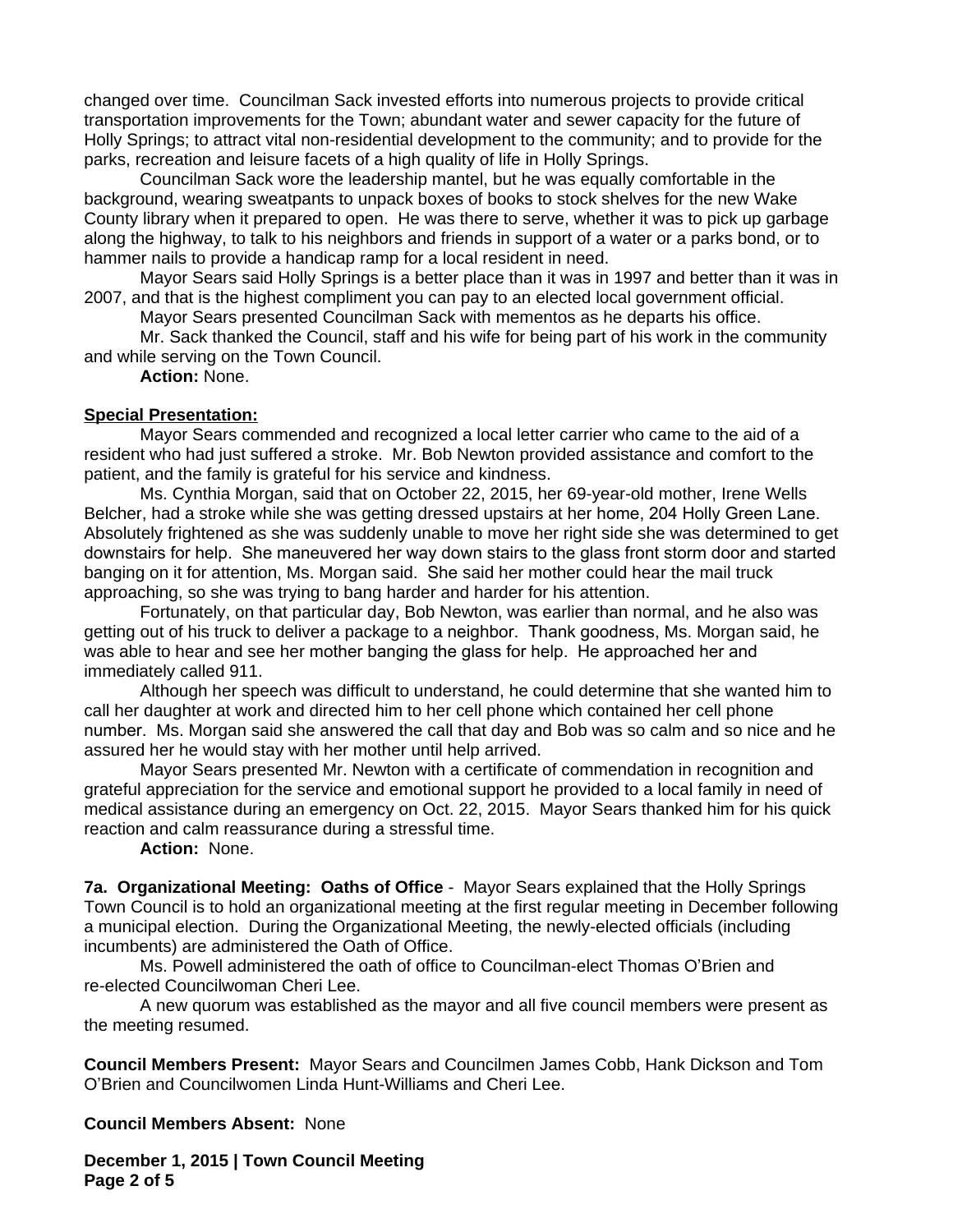changed over time. Councilman Sack invested efforts into numerous projects to provide critical transportation improvements for the Town; abundant water and sewer capacity for the future of Holly Springs; to attract vital non-residential development to the community; and to provide for the parks, recreation and leisure facets of a high quality of life in Holly Springs.

Councilman Sack wore the leadership mantel, but he was equally comfortable in the background, wearing sweatpants to unpack boxes of books to stock shelves for the new Wake County library when it prepared to open. He was there to serve, whether it was to pick up garbage along the highway, to talk to his neighbors and friends in support of a water or a parks bond, or to hammer nails to provide a handicap ramp for a local resident in need.

Mayor Sears said Holly Springs is a better place than it was in 1997 and better than it was in 2007, and that is the highest compliment you can pay to an elected local government official.

Mayor Sears presented Councilman Sack with mementos as he departs his office.

Mr. Sack thanked the Council, staff and his wife for being part of his work in the community and while serving on the Town Council.

**Action:** None.

## **Special Presentation:**

Mayor Sears commended and recognized a local letter carrier who came to the aid of a resident who had just suffered a stroke. Mr. Bob Newton provided assistance and comfort to the patient, and the family is grateful for his service and kindness.

Ms. Cynthia Morgan, said that on October 22, 2015, her 69-year-old mother, Irene Wells Belcher, had a stroke while she was getting dressed upstairs at her home, 204 Holly Green Lane. Absolutely frightened as she was suddenly unable to move her right side she was determined to get downstairs for help. She maneuvered her way down stairs to the glass front storm door and started banging on it for attention, Ms. Morgan said. She said her mother could hear the mail truck approaching, so she was trying to bang harder and harder for his attention.

Fortunately, on that particular day, Bob Newton, was earlier than normal, and he also was getting out of his truck to deliver a package to a neighbor. Thank goodness, Ms. Morgan said, he was able to hear and see her mother banging the glass for help. He approached her and immediately called 911.

Although her speech was difficult to understand, he could determine that she wanted him to call her daughter at work and directed him to her cell phone which contained her cell phone number. Ms. Morgan said she answered the call that day and Bob was so calm and so nice and he assured her he would stay with her mother until help arrived.

Mayor Sears presented Mr. Newton with a certificate of commendation in recognition and grateful appreciation for the service and emotional support he provided to a local family in need of medical assistance during an emergency on Oct. 22, 2015. Mayor Sears thanked him for his quick reaction and calm reassurance during a stressful time.

**Action:** None.

**7a. Organizational Meeting: Oaths of Office** - Mayor Sears explained that the Holly Springs Town Council is to hold an organizational meeting at the first regular meeting in December following a municipal election. During the Organizational Meeting, the newly-elected officials (including incumbents) are administered the Oath of Office.

Ms. Powell administered the oath of office to Councilman-elect Thomas O'Brien and re-elected Councilwoman Cheri Lee.

A new quorum was established as the mayor and all five council members were present as the meeting resumed.

**Council Members Present:** Mayor Sears and Councilmen James Cobb, Hank Dickson and Tom O'Brien and Councilwomen Linda Hunt-Williams and Cheri Lee.

**Council Members Absent:** None

**December 1, 2015 | Town Council Meeting Page 2 of 5**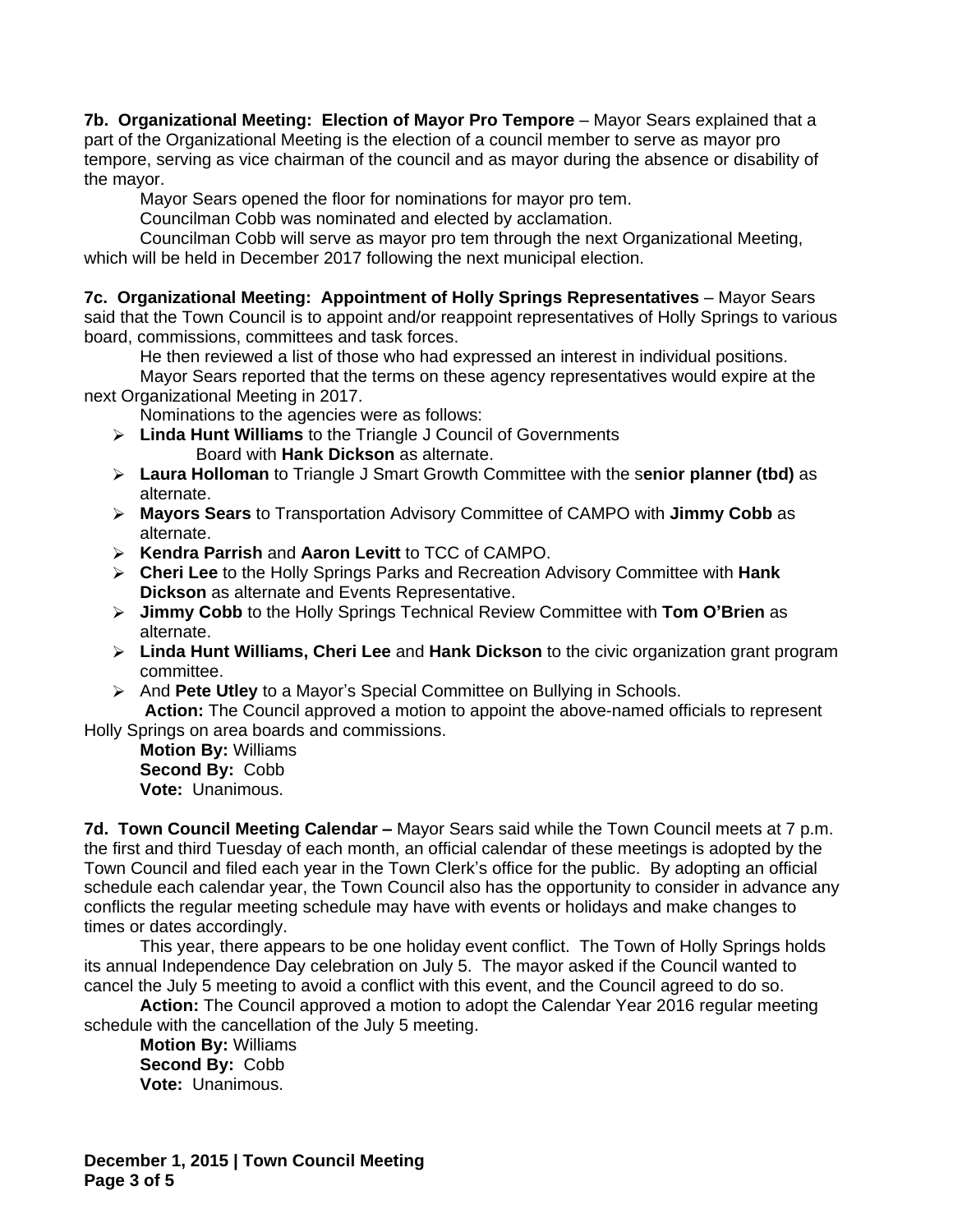**7b. Organizational Meeting: Election of Mayor Pro Tempore** - Mayor Sears explained that a part of the Organizational Meeting is the election of a council member to serve as mayor pro tempore, serving as vice chairman of the council and as mayor during the absence or disability of the mayor.

Mayor Sears opened the floor for nominations for mayor pro tem.

Councilman Cobb was nominated and elected by acclamation.

Councilman Cobb will serve as mayor pro tem through the next Organizational Meeting, which will be held in December 2017 following the next municipal election.

**7c. Organizational Meeting: Appointment of Holly Springs Representatives** – Mayor Sears said that the Town Council is to appoint and/or reappoint representatives of Holly Springs to various board, commissions, committees and task forces.

He then reviewed a list of those who had expressed an interest in individual positions.

Mayor Sears reported that the terms on these agency representatives would expire at the next Organizational Meeting in 2017.

Nominations to the agencies were as follows:

- **Linda Hunt Williams** to the Triangle J Council of Governments Board with **Hank Dickson** as alternate.
- **Laura Holloman** to Triangle J Smart Growth Committee with the s**enior planner (tbd)** as alternate.
- **Mayors Sears** to Transportation Advisory Committee of CAMPO with **Jimmy Cobb** as alternate.
- **Kendra Parrish** and **Aaron Levitt** to TCC of CAMPO.
- **Cheri Lee** to the Holly Springs Parks and Recreation Advisory Committee with **Hank Dickson** as alternate and Events Representative.
- **Jimmy Cobb** to the Holly Springs Technical Review Committee with **Tom O'Brien** as alternate.
- **Linda Hunt Williams, Cheri Lee** and **Hank Dickson** to the civic organization grant program committee.
- And **Pete Utley** to a Mayor's Special Committee on Bullying in Schools.

 **Action:** The Council approved a motion to appoint the above-named officials to represent Holly Springs on area boards and commissions.

**Motion By:** Williams **Second By:** Cobb **Vote:** Unanimous.

**7d. Town Council Meeting Calendar –** Mayor Sears said while the Town Council meets at 7 p.m. the first and third Tuesday of each month, an official calendar of these meetings is adopted by the Town Council and filed each year in the Town Clerk's office for the public. By adopting an official schedule each calendar year, the Town Council also has the opportunity to consider in advance any conflicts the regular meeting schedule may have with events or holidays and make changes to times or dates accordingly.

This year, there appears to be one holiday event conflict. The Town of Holly Springs holds its annual Independence Day celebration on July 5. The mayor asked if the Council wanted to cancel the July 5 meeting to avoid a conflict with this event, and the Council agreed to do so.

**Action:** The Council approved a motion to adopt the Calendar Year 2016 regular meeting schedule with the cancellation of the July 5 meeting.

**Motion By:** Williams **Second By:** Cobb **Vote:** Unanimous.

**December 1, 2015 | Town Council Meeting Page 3 of 5**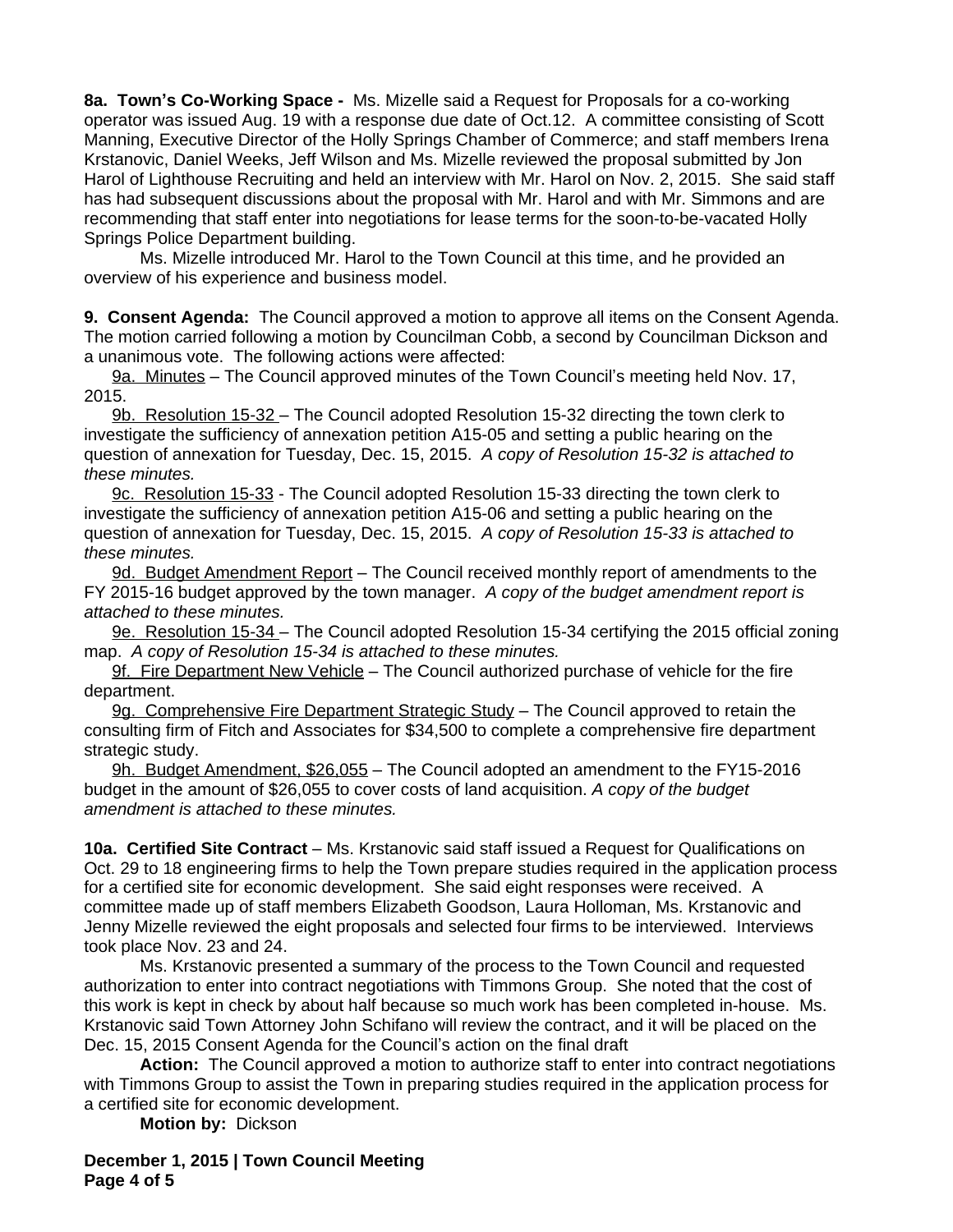**8a. Town's Co-Working Space -** Ms. Mizelle said a Request for Proposals for a co-working operator was issued Aug. 19 with a response due date of Oct.12. A committee consisting of Scott Manning, Executive Director of the Holly Springs Chamber of Commerce; and staff members Irena Krstanovic, Daniel Weeks, Jeff Wilson and Ms. Mizelle reviewed the proposal submitted by Jon Harol of Lighthouse Recruiting and held an interview with Mr. Harol on Nov. 2, 2015. She said staff has had subsequent discussions about the proposal with Mr. Harol and with Mr. Simmons and are recommending that staff enter into negotiations for lease terms for the soon-to-be-vacated Holly Springs Police Department building.

Ms. Mizelle introduced Mr. Harol to the Town Council at this time, and he provided an overview of his experience and business model.

**9. Consent Agenda:** The Council approved a motion to approve all items on the Consent Agenda. The motion carried following a motion by Councilman Cobb, a second by Councilman Dickson and a unanimous vote. The following actions were affected:

9a. Minutes – The Council approved minutes of the Town Council's meeting held Nov. 17, 2015.

9b. Resolution 15-32 – The Council adopted Resolution 15-32 directing the town clerk to investigate the sufficiency of annexation petition A15-05 and setting a public hearing on the question of annexation for Tuesday, Dec. 15, 2015.*A copy of Resolution 15-32 is attached to these minutes.*

9c. Resolution 15-33 - The Council adopted Resolution 15-33 directing the town clerk to investigate the sufficiency of annexation petition A15-06 and setting a public hearing on the question of annexation for Tuesday, Dec. 15, 2015. *A copy of Resolution 15-33 is attached to these minutes.*

9d. Budget Amendment Report - The Council received monthly report of amendments to the FY 2015-16 budget approved by the town manager. *A copy of the budget amendment report is attached to these minutes.*

9e. Resolution 15-34 – The Council adopted Resolution 15-34 certifying the 2015 official zoning map.*A copy of Resolution 15-34 is attached to these minutes.*

9f. Fire Department New Vehicle - The Council authorized purchase of vehicle for the fire department.

9g. Comprehensive Fire Department Strategic Study – The Council approved to retain the consulting firm of Fitch and Associates for \$34,500 to complete a comprehensive fire department strategic study.

9h. Budget Amendment, \$26,055 – The Council adopted an amendment to the FY15-2016 budget in the amount of \$26,055 to cover costs of land acquisition. *A copy of the budget amendment is attached to these minutes.*

**10a. Certified Site Contract** – Ms. Krstanovic said staff issued a Request for Qualifications on Oct. 29 to 18 engineering firms to help the Town prepare studies required in the application process for a certified site for economic development. She said eight responses were received. A committee made up of staff members Elizabeth Goodson, Laura Holloman, Ms. Krstanovic and Jenny Mizelle reviewed the eight proposals and selected four firms to be interviewed. Interviews took place Nov. 23 and 24.

Ms. Krstanovic presented a summary of the process to the Town Council and requested authorization to enter into contract negotiations with Timmons Group. She noted that the cost of this work is kept in check by about half because so much work has been completed in-house. Ms. Krstanovic said Town Attorney John Schifano will review the contract, and it will be placed on the Dec. 15, 2015 Consent Agenda for the Council's action on the final draft

**Action:** The Council approved a motion to authorize staff to enter into contract negotiations with Timmons Group to assist the Town in preparing studies required in the application process for a certified site for economic development.

**Motion by:** Dickson

**December 1, 2015 | Town Council Meeting Page 4 of 5**